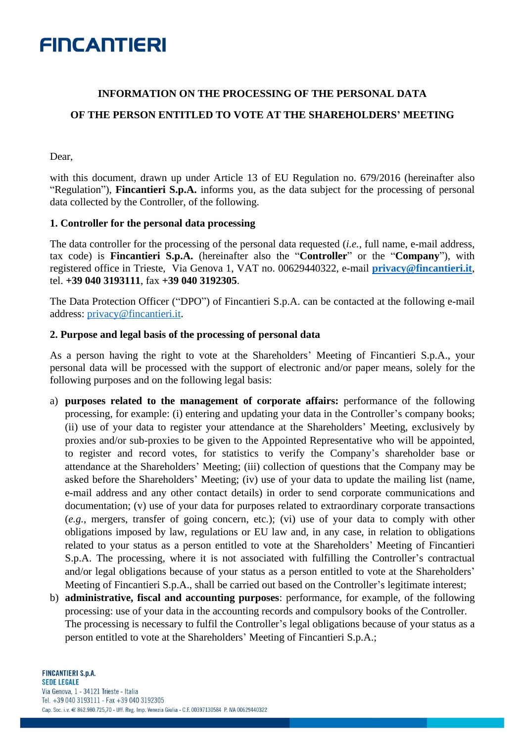### **INFORMATION ON THE PROCESSING OF THE PERSONAL DATA OF THE PERSON ENTITLED TO VOTE AT THE SHAREHOLDERS' MEETING**

Dear,

with this document, drawn up under Article 13 of EU Regulation no. 679/2016 (hereinafter also "Regulation"), **Fincantieri S.p.A.** informs you, as the data subject for the processing of personal data collected by the Controller, of the following.

#### **1. Controller for the personal data processing**

The data controller for the processing of the personal data requested (*i.e.*, full name, e-mail address, tax code) is **Fincantieri S.p.A.** (hereinafter also the "**Controller**" or the "**Company**"), with registered office in Trieste, Via Genova 1, VAT no. 00629440322, e-mail **[privacy@fincantieri.it](mailto:privacy@fincantieri.it)**, tel. **+39 040 3193111**, fax **+39 040 3192305**.

The Data Protection Officer ("DPO") of Fincantieri S.p.A. can be contacted at the following e-mail address: [privacy@fincantieri.it.](mailto:privacy@fincantieri.it)

#### **2. Purpose and legal basis of the processing of personal data**

As a person having the right to vote at the Shareholders' Meeting of Fincantieri S.p.A., your personal data will be processed with the support of electronic and/or paper means, solely for the following purposes and on the following legal basis:

- a) **purposes related to the management of corporate affairs:** performance of the following processing, for example: (i) entering and updating your data in the Controller's company books; (ii) use of your data to register your attendance at the Shareholders' Meeting, exclusively by proxies and/or sub-proxies to be given to the Appointed Representative who will be appointed, to register and record votes, for statistics to verify the Company's shareholder base or attendance at the Shareholders' Meeting; (iii) collection of questions that the Company may be asked before the Shareholders' Meeting; (iv) use of your data to update the mailing list (name, e-mail address and any other contact details) in order to send corporate communications and documentation; (v) use of your data for purposes related to extraordinary corporate transactions (*e.g.*, mergers, transfer of going concern, etc.); (vi) use of your data to comply with other obligations imposed by law, regulations or EU law and, in any case, in relation to obligations related to your status as a person entitled to vote at the Shareholders' Meeting of Fincantieri S.p.A. The processing, where it is not associated with fulfilling the Controller's contractual and/or legal obligations because of your status as a person entitled to vote at the Shareholders' Meeting of Fincantieri S.p.A., shall be carried out based on the Controller's legitimate interest;
- b) **administrative, fiscal and accounting purposes**: performance, for example, of the following processing: use of your data in the accounting records and compulsory books of the Controller. The processing is necessary to fulfil the Controller's legal obligations because of your status as a person entitled to vote at the Shareholders' Meeting of Fincantieri S.p.A.;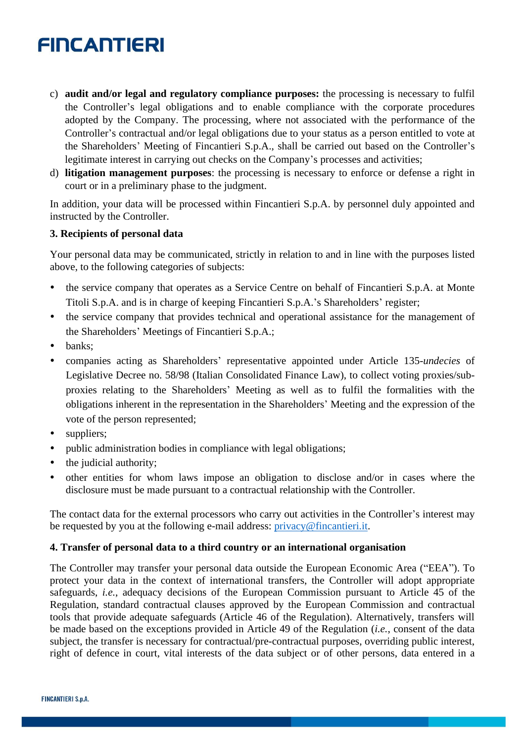- c) **audit and/or legal and regulatory compliance purposes:** the processing is necessary to fulfil the Controller's legal obligations and to enable compliance with the corporate procedures adopted by the Company. The processing, where not associated with the performance of the Controller's contractual and/or legal obligations due to your status as a person entitled to vote at the Shareholders' Meeting of Fincantieri S.p.A., shall be carried out based on the Controller's legitimate interest in carrying out checks on the Company's processes and activities;
- d) **litigation management purposes**: the processing is necessary to enforce or defense a right in court or in a preliminary phase to the judgment.

In addition, your data will be processed within Fincantieri S.p.A. by personnel duly appointed and instructed by the Controller.

#### **3. Recipients of personal data**

Your personal data may be communicated, strictly in relation to and in line with the purposes listed above, to the following categories of subjects:

- the service company that operates as a Service Centre on behalf of Fincantieri S.p.A. at Monte Titoli S.p.A. and is in charge of keeping Fincantieri S.p.A.'s Shareholders' register;
- the service company that provides technical and operational assistance for the management of the Shareholders' Meetings of Fincantieri S.p.A.;
- banks:
- companies acting as Shareholders' representative appointed under Article 135-*undecies* of Legislative Decree no. 58/98 (Italian Consolidated Finance Law), to collect voting proxies/subproxies relating to the Shareholders' Meeting as well as to fulfil the formalities with the obligations inherent in the representation in the Shareholders' Meeting and the expression of the vote of the person represented;
- suppliers;
- public administration bodies in compliance with legal obligations;
- the judicial authority;
- other entities for whom laws impose an obligation to disclose and/or in cases where the disclosure must be made pursuant to a contractual relationship with the Controller.

The contact data for the external processors who carry out activities in the Controller's interest may be requested by you at the following e-mail address: [privacy@fincantieri.it.](mailto:privacy@fincantieri.it)

#### **4. Transfer of personal data to a third country or an international organisation**

The Controller may transfer your personal data outside the European Economic Area ("EEA"). To protect your data in the context of international transfers, the Controller will adopt appropriate safeguards, *i.e.*, adequacy decisions of the European Commission pursuant to Article 45 of the Regulation, standard contractual clauses approved by the European Commission and contractual tools that provide adequate safeguards (Article 46 of the Regulation). Alternatively, transfers will be made based on the exceptions provided in Article 49 of the Regulation (*i.e.*, consent of the data subject, the transfer is necessary for contractual/pre-contractual purposes, overriding public interest, right of defence in court, vital interests of the data subject or of other persons, data entered in a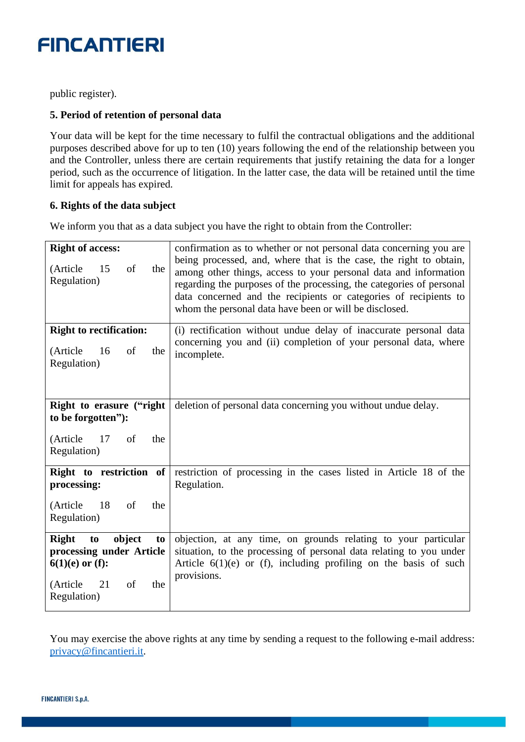public register).

#### **5. Period of retention of personal data**

Your data will be kept for the time necessary to fulfil the contractual obligations and the additional purposes described above for up to ten (10) years following the end of the relationship between you and the Controller, unless there are certain requirements that justify retaining the data for a longer period, such as the occurrence of litigation. In the latter case, the data will be retained until the time limit for appeals has expired.

#### **6. Rights of the data subject**

We inform you that as a data subject you have the right to obtain from the Controller:

| <b>Right of access:</b><br>(Article<br>15<br>of<br>the<br>Regulation)                                                              | confirmation as to whether or not personal data concerning you are<br>being processed, and, where that is the case, the right to obtain,<br>among other things, access to your personal data and information<br>regarding the purposes of the processing, the categories of personal<br>data concerned and the recipients or categories of recipients to<br>whom the personal data have been or will be disclosed. |
|------------------------------------------------------------------------------------------------------------------------------------|--------------------------------------------------------------------------------------------------------------------------------------------------------------------------------------------------------------------------------------------------------------------------------------------------------------------------------------------------------------------------------------------------------------------|
| <b>Right to rectification:</b><br>(Article<br>16<br>of<br>the<br>Regulation)                                                       | (i) rectification without undue delay of inaccurate personal data<br>concerning you and (ii) completion of your personal data, where<br>incomplete.                                                                                                                                                                                                                                                                |
| Right to erasure ("right<br>to be forgotten"):<br>17<br>of<br>(Article<br>the<br>Regulation)                                       | deletion of personal data concerning you without undue delay.                                                                                                                                                                                                                                                                                                                                                      |
| Right to restriction of<br>processing:<br>(Article<br>- 18<br>of<br>the<br>Regulation)                                             | restriction of processing in the cases listed in Article 18 of the<br>Regulation.                                                                                                                                                                                                                                                                                                                                  |
| object<br><b>Right</b><br>to<br>to<br>processing under Article<br>$6(1)(e)$ or (f):<br>of<br>(Article)<br>21<br>the<br>Regulation) | objection, at any time, on grounds relating to your particular<br>situation, to the processing of personal data relating to you under<br>Article $6(1)(e)$ or (f), including profiling on the basis of such<br>provisions.                                                                                                                                                                                         |

You may exercise the above rights at any time by sending a request to the following e-mail address: [privacy@fincantieri.it.](mailto:privacy@fincantieri.it)